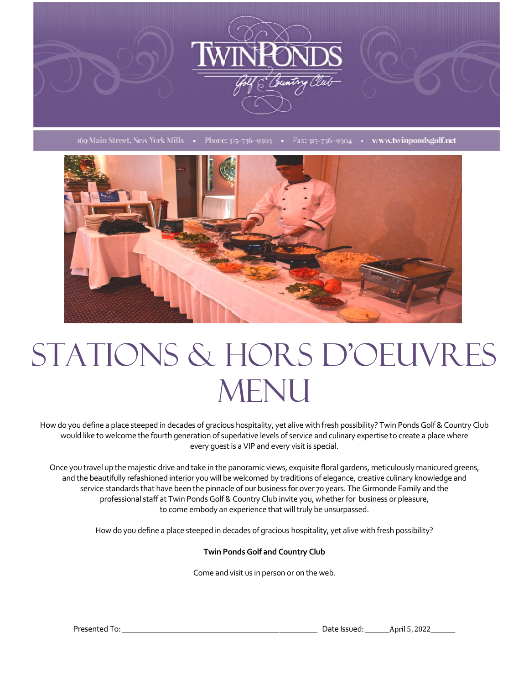

169 Main Street, New York Mills • Phone: 315-736-9303 • Fax: 315-736-9304 • www.twinpondsgolf.net



# Stations & Hors D'oeuvres **MENU**

How do you define a place steeped in decades of gracious hospitality, yet alive with fresh possibility? Twin Ponds Golf & Country Club would like to welcome the fourth generation of superlative levels of service and culinary expertise to create a place where every guest is a VIP and every visit is special.

Once you travel up the majestic drive and take in the panoramic views, exquisite floral gardens, meticulously manicured greens, and the beautifully refashioned interior you will be welcomed by traditions of elegance, creative culinary knowledge and service standards that have been the pinnacle of our business for over 70 years. The Girmonde Family and the professional staff at Twin Ponds Golf & Country Club invite you, whether for business or pleasure, to come embody an experience that will truly be unsurpassed.

How do you define a place steeped in decades of gracious hospitality, yet alive with fresh possibility?

**Twin Ponds Golf and Country Club**

Come and visit us in person or on the web.

Presented To: etc. and the state of the state of the Security Control of the Security Control of the Security Control of the Security Control of the Security Control of the Security Control of the Security Control of the S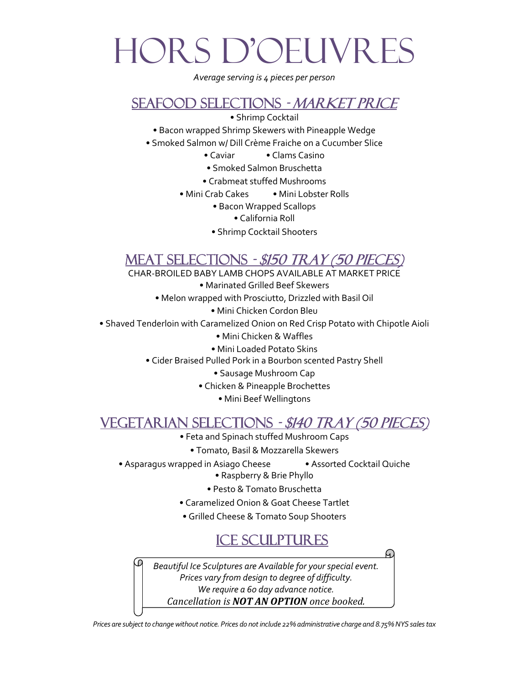# Hors d'oeuvres

*Average serving is 4 pieces per person*

#### Seafood Selections - Market Price

• Shrimp Cocktail

- Bacon wrapped Shrimp Skewers with Pineapple Wedge
- Smoked Salmon w/ Dill Crème Fraiche on a Cucumber Slice
	- Caviar Clams Casino
	- Smoked Salmon Bruschetta
	- Crabmeat stuffed Mushrooms
	- Mini Crab Cakes Mini Lobster Rolls
		- Bacon Wrapped Scallops
			- California Roll
		- Shrimp Cocktail Shooters

### MEAT SELECTIONS - \$150 TRAY (50 PIEC

CHAR-BROILED BABY LAMB CHOPS AVAILABLE AT MARKET PRICE

- Marinated Grilled Beef Skewers
- Melon wrapped with Prosciutto, Drizzled with Basil Oil
	- Mini Chicken Cordon Bleu
- Shaved Tenderloin with Caramelized Onion on Red Crisp Potato with Chipotle Aioli
	- Mini Chicken & Waffles
	- Mini Loaded Potato Skins
	- Cider Braised Pulled Pork in a Bourbon scented Pastry Shell
		- Sausage Mushroom Cap
		- Chicken & Pineapple Brochettes
			- Mini Beef Wellingtons

### Vegetarian Selections - \$140 Tray (50 pieces)

- Feta and Spinach stuffed Mushroom Caps
	- Tomato, Basil & Mozzarella Skewers
- Asparagus wrapped in Asiago Cheese Assorted Cocktail Quiche
	- Raspberry & Brie Phyllo
	- Pesto & Tomato Bruschetta
	- Caramelized Onion & Goat Cheese Tartlet
	- Grilled Cheese & Tomato Soup Shooters

## ICE Sculptures

*Beautiful Ice Sculptures are Available for your special event. Prices vary from design to degree of difficulty. We require a 60 day advance notice. Cancellation is NOT AN OPTION once booked.*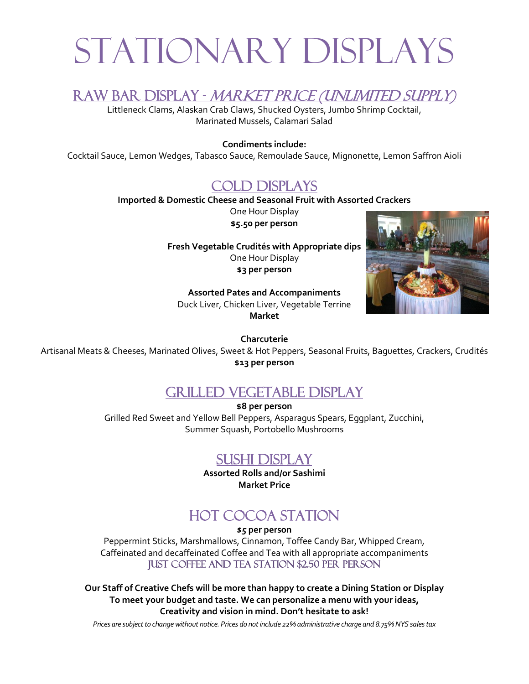# Stationary Displays

Raw Bar Display - Market Price (Unlimited Supply)

Littleneck Clams, Alaskan Crab Claws, Shucked Oysters, Jumbo Shrimp Cocktail, Marinated Mussels, Calamari Salad

#### **Condiments include:**

Cocktail Sauce, Lemon Wedges, Tabasco Sauce, Remoulade Sauce, Mignonette, Lemon Saffron Aioli

#### Cold Displays

**Imported & Domestic Cheese and Seasonal Fruit with Assorted Crackers**

One Hour Display **\$5.50 per person**

**Fresh Vegetable Crudités with Appropriate dips** One Hour Display **\$3 per person**



**Assorted Pates and Accompaniments** Duck Liver, Chicken Liver, Vegetable Terrine **Market**

**Charcuterie**

Artisanal Meats & Cheeses, Marinated Olives, Sweet & Hot Peppers, Seasonal Fruits, Baguettes, Crackers, Crudités **\$13 per person** Ĵ

### Grilled Vegetable Display

**\$8 per person** Grilled Red Sweet and Yellow Bell Peppers, Asparagus Spears, Eggplant, Zucchini, Summer Squash, Portobello Mushrooms

#### Sushi Display

**Assorted Rolls and/or Sashimi Market Price**

## Hot Cocoa Station

*\$5* **per person** Peppermint Sticks, Marshmallows, Cinnamon, Toffee Candy Bar, Whipped Cream, Caffeinated and decaffeinated Coffee and Tea with all appropriate accompaniments Just Coffee and Tea Station \$2.50 per person

**Our Staff of Creative Chefs will be more than happy to create a Dining Station or Display To meet your budget and taste. We can personalize a menu with your ideas, Creativity and vision in mind. Don't hesitate to ask!**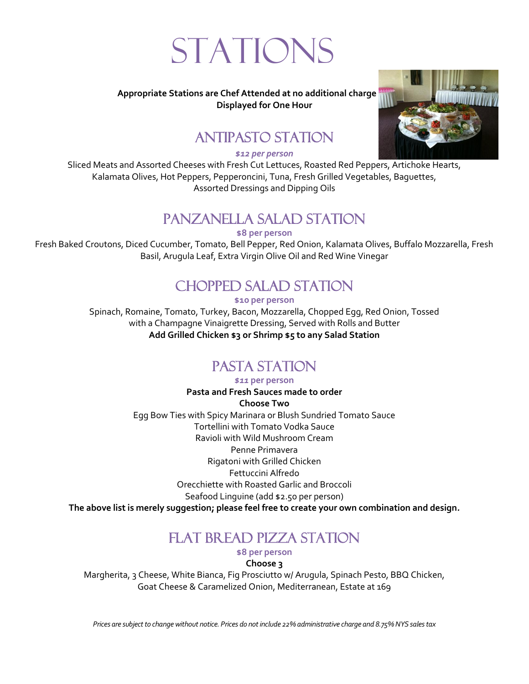# **STATIONS**

#### **Appropriate Stations are Chef Attended at no additional charge Displayed for One Hour**

## Antipasto Station

*\$12 per person*

Sliced Meats and Assorted Cheeses with Fresh Cut Lettuces, Roasted Red Peppers, Artichoke Hearts, Kalamata Olives, Hot Peppers, Pepperoncini, Tuna, Fresh Grilled Vegetables, Baguettes, Assorted Dressings and Dipping Oils

## Panzanella Salad Station

**\$8 per person**

Fresh Baked Croutons, Diced Cucumber, Tomato, Bell Pepper, Red Onion, Kalamata Olives, Buffalo Mozzarella, Fresh Basil, Arugula Leaf, Extra Virgin Olive Oil and Red Wine Vinegar

# Chopped Salad Station

**\$10 per person**

Spinach, Romaine, Tomato, Turkey, Bacon, Mozzarella, Chopped Egg, Red Onion, Tossed with a Champagne Vinaigrette Dressing, Served with Rolls and Butter **Add Grilled Chicken \$3 or Shrimp \$5 to any Salad Station**

# PASTA STATION

*\$11* **per person**

**Pasta and Fresh Sauces made to order Choose Two** Egg Bow Ties with Spicy Marinara or Blush Sundried Tomato Sauce Tortellini with Tomato Vodka Sauce Ravioli with Wild Mushroom Cream Penne Primavera Rigatoni with Grilled Chicken Fettuccini Alfredo Orecchiette with Roasted Garlic and Broccoli Seafood Linguine (add \$2.50 per person) **The above list is merely suggestion; please feel free to create your own combination and design***.*

## FLAT BREAD PIZZA STATION

**\$8 per person**

**Choose 3**

Margherita, 3 Cheese, White Bianca, Fig Prosciutto w/ Arugula, Spinach Pesto, BBQ Chicken, Goat Cheese & Caramelized Onion, Mediterranean, Estate at 169

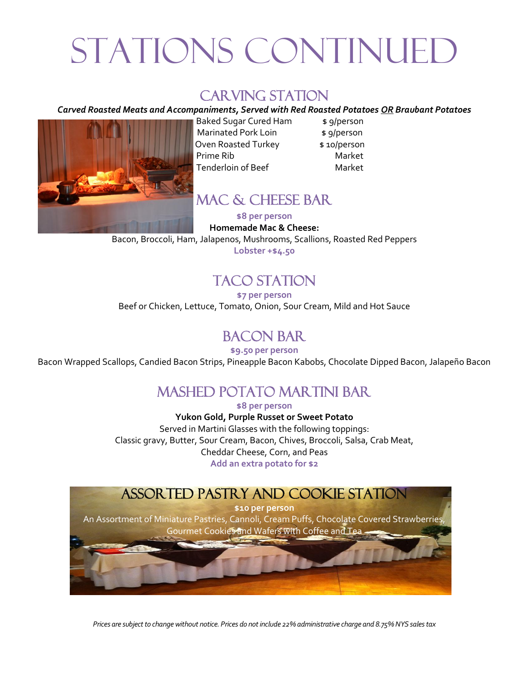# STATIONS CONTINUE

### CARVING STATION

#### *Carved Roasted Meats and Accompaniments, Served with Red Roasted Potatoes OR Braubant Potatoes*



Baked Sugar Cured Ham \$ 9/person Marinated Pork Loin \$ 9/person Oven Roasted Turkey \$10/person Prime Rib Market Tenderloin of Beef Market

#### Mac & cheese Bar

**\$8 per person**

#### **Homemade Mac & Cheese:**

Bacon, Broccoli, Ham, Jalapenos, Mushrooms, Scallions, Roasted Red Peppers

**Lobster +\$4.50**

# TACO STATION

**\$7 per person**

Beef or Chicken, Lettuce, Tomato, Onion, Sour Cream, Mild and Hot Sauce

### Bacon Bar

**\$9.50 per person** Bacon Wrapped Scallops, Candied Bacon Strips, Pineapple Bacon Kabobs, Chocolate Dipped Bacon, Jalapeño Bacon

## Mashed Potato Martini Bar

**\$8 per person**

**Yukon Gold, Purple Russet or Sweet Potato** Served in Martini Glasses with the following toppings: Classic gravy, Butter, Sour Cream, Bacon, Chives, Broccoli, Salsa, Crab Meat, Cheddar Cheese, Corn, and Peas **Add an extra potato for \$2**